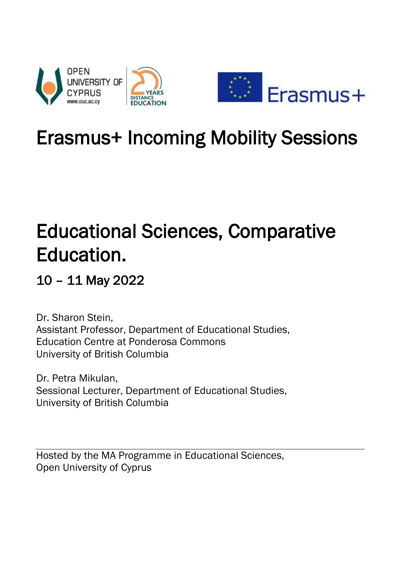

# Erasmus+ Incoming Mobility Sessions

# Educational Sciences, Comparative Education.

# 10 – 11 May 2022

Dr. Sharon Stein, Assistant Professor, Department of Educational Studies, Education Centre at Ponderosa Commons University of British Columbia

Dr. Petra Mikulan, Sessional Lecturer, Department of Educational Studies, University of British Columbia

Hosted by the MA Programme in Educational Sciences, Open University of Cyprus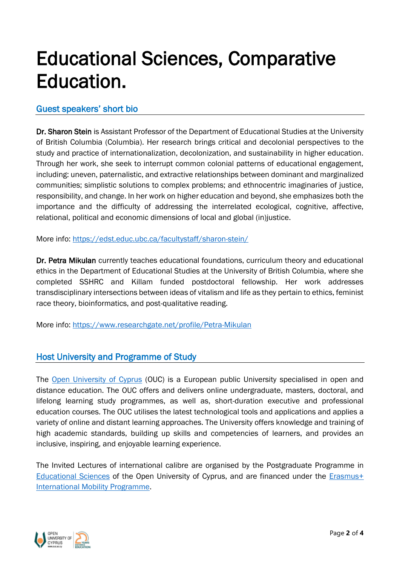# Educational Sciences, Comparative Education.

### Guest speakers' short bio

Dr. Sharon Stein is Assistant Professor of the Department of Educational Studies at the University of British Columbia (Columbia). Her research brings critical and decolonial perspectives to the study and practice of internationalization, decolonization, and sustainability in higher education. Through her work, she seek to interrupt common colonial patterns of educational engagement, including: uneven, paternalistic, and extractive relationships between dominant and marginalized communities; simplistic solutions to complex problems; and ethnocentric imaginaries of justice, responsibility, and change. In her work on higher education and beyond, she emphasizes both the importance and the difficulty of addressing the interrelated ecological, cognitive, affective, relational, political and economic dimensions of local and global (in)justice.

More info:<https://edst.educ.ubc.ca/facultystaff/sharon-stein/>

Dr. Petra Mikulan currently teaches educational foundations, curriculum theory and educational ethics in the Department of Educational Studies at the University of British Columbia, where she completed SSHRC and Killam funded postdoctoral fellowship. Her work addresses transdisciplinary intersections between ideas of vitalism and life as they pertain to ethics, feminist race theory, bioinformatics, and post-qualitative reading.

More info:<https://www.researchgate.net/profile/Petra-Mikulan>

# Host University and Programme of Study

The [Open University of Cyprus](https://www.ouc.ac.cy/index.php/en/) (OUC) is a European public University specialised in open and distance education. The OUC offers and delivers online undergraduate, masters, doctoral, and lifelong learning study programmes, as well as, short-duration executive and professional education courses. The OUC utilises the latest technological tools and applications and applies a variety of online and distant learning approaches. The University offers knowledge and training of high academic standards, building up skills and competencies of learners, and provides an inclusive, inspiring, and enjoyable learning experience.

The Invited Lectures of international calibre are organised by the Postgraduate Programme in [Educational Sciences](https://www.ouc.ac.cy/index.php/en/studies/master/studies-degrees-master-epa-new) of the Open University of Cyprus, and are financed under the [Erasmus+](https://www.ouc.ac.cy/index.php/en/university/internationalrelations/erasmus/erasmus-international)  [International Mobility Programme.](https://www.ouc.ac.cy/index.php/en/university/internationalrelations/erasmus/erasmus-international)

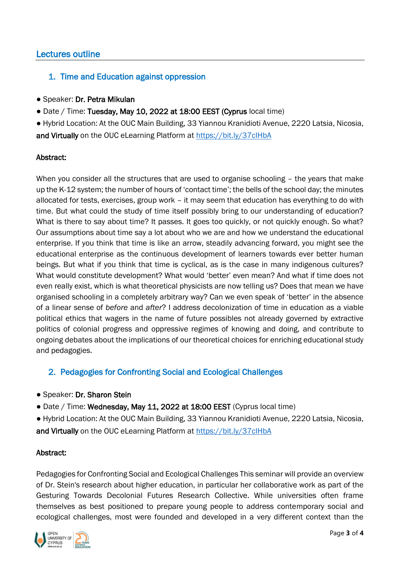### Lectures outline

#### 1. Time and Education against oppression

- Speaker: Dr. Petra Mikulan
- Date / Time: Tuesday, May 10, 2022 at 18:00 EEST (Cyprus local time)

● Hybrid Location: At the OUC Main Building, 33 Yiannou Kranidioti Avenue, 2220 Latsia, Nicosia, and Virtually on the OUC eLearning Platform at https://bit.ly/37clHbA

#### Abstract:

When you consider all the structures that are used to organise schooling – the years that make up the K-12 system; the number of hours of 'contact time'; the bells of the school day; the minutes allocated for tests, exercises, group work – it may seem that education has everything to do with time. But what could the study of time itself possibly bring to our understanding of education? What is there to say about time? It passes. It goes too quickly, or not quickly enough. So what? Our assumptions about time say a lot about who we are and how we understand the educational enterprise. If you think that time is like an arrow, steadily advancing forward, you might see the educational enterprise as the continuous development of learners towards ever better human beings. But what if you think that time is cyclical, as is the case in many indigenous cultures? What would constitute development? What would 'better' even mean? And what if time does not even really exist, which is what theoretical physicists are now telling us? Does that mean we have organised schooling in a completely arbitrary way? Can we even speak of 'better' in the absence of a linear sense of *before* and *after*? I address decolonization of time in education as a viable political ethics that wagers in the name of future possibles not already governed by extractive politics of colonial progress and oppressive regimes of knowing and doing, and contribute to ongoing debates about the implications of our theoretical choices for enriching educational study and pedagogies.

### 2. Pedagogies for Confronting Social and Ecological Challenges

- Speaker: Dr. Sharon Stein
- Date / Time: Wednesday, May 11, 2022 at 18:00 EEST (Cyprus local time)

● Hybrid Location: At the OUC Main Building, 33 Yiannou Kranidioti Avenue, 2220 Latsia, Nicosia, and Virtually on the OUC eLearning Platform at<https://bit.ly/37cIHbA>

#### Abstract:

Pedagogies for Confronting Social and Ecological Challenges This seminar will provide an overview of Dr. Stein's research about higher education, in particular her collaborative work as part of the Gesturing Towards Decolonial Futures Research Collective. While universities often frame themselves as best positioned to prepare young people to address contemporary social and ecological challenges, most were founded and developed in a very different context than the